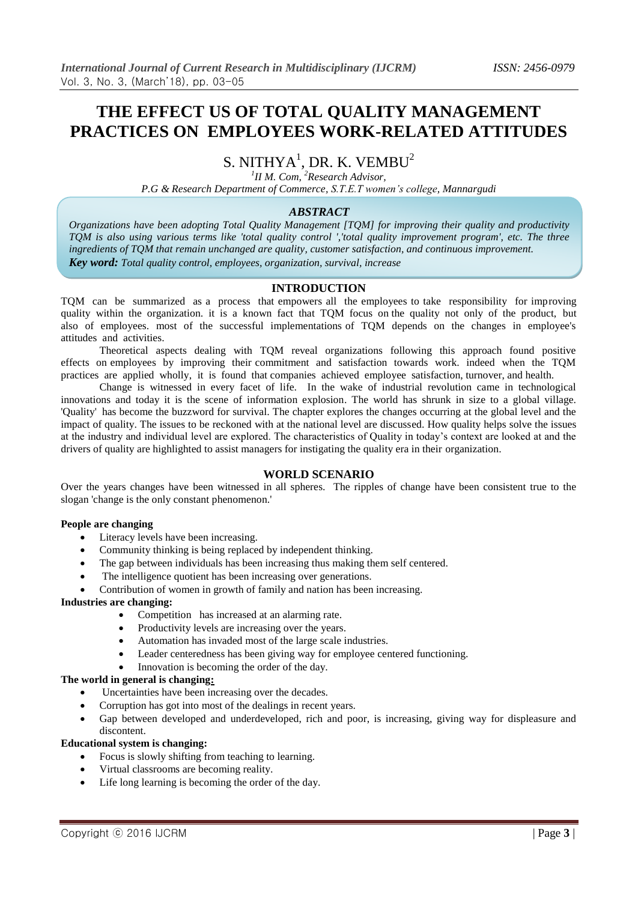# **THE EFFECT US OF TOTAL QUALITY MANAGEMENT PRACTICES ON EMPLOYEES WORK-RELATED ATTITUDES**

## S. NITHYA $^1$ , DR. K. VEMBU $^2$

*1 II M. Com, <sup>2</sup>Research Advisor,*

*P.G & Research Department of Commerce, S.T.E.T women's college, Mannargudi*

## *ABSTRACT*

*Organizations have been adopting Total Quality Management [TQM] for improving their quality and productivity TQM is also using various terms like 'total quality control ','total quality improvement program', etc. The three ingredients of TQM that remain unchanged are quality, customer satisfaction, and continuous improvement. Key word: Total quality control, employees, organization, survival, increase*

## **INTRODUCTION**

TQM can be summarized as a process that empowers all the employees to take responsibility for improving quality within the organization. it is a known fact that TQM focus on the quality not only of the product, but also of employees. most of the successful implementations of TQM depends on the changes in employee's attitudes and activities.

Theoretical aspects dealing with TQM reveal organizations following this approach found positive effects on employees by improving their commitment and satisfaction towards work. indeed when the TQM practices are applied wholly, it is found that companies achieved employee satisfaction, turnover, and health.

Change is witnessed in every facet of life. In the wake of industrial revolution came in technological innovations and today it is the scene of information explosion. The world has shrunk in size to a global village. 'Quality' has become the buzzword for survival. The chapter explores the changes occurring at the global level and the impact of quality. The issues to be reckoned with at the national level are discussed. How quality helps solve the issues at the industry and individual level are explored. The characteristics of Quality in today's context are looked at and the drivers of quality are highlighted to assist managers for instigating the quality era in their organization.

## **WORLD SCENARIO**

Over the years changes have been witnessed in all spheres. The ripples of change have been consistent true to the slogan 'change is the only constant phenomenon.'

#### **People are changing**

- Literacy levels have been increasing.
- Community thinking is being replaced by independent thinking.
- The gap between individuals has been increasing thus making them self centered.
- The intelligence quotient has been increasing over generations.
- Contribution of women in growth of family and nation has been increasing.

#### **Industries are changing:**

- Competition has increased at an alarming rate.
- Productivity levels are increasing over the years.
- Automation has invaded most of the large scale industries.
- Leader centeredness has been giving way for employee centered functioning.
- Innovation is becoming the order of the day.

## **The world in general is changing:**

- Uncertainties have been increasing over the decades.
- Corruption has got into most of the dealings in recent years.
- Gap between developed and underdeveloped, rich and poor, is increasing, giving way for displeasure and discontent.

#### **Educational system is changing:**

- Focus is slowly shifting from teaching to learning.
- Virtual classrooms are becoming reality.
- Life long learning is becoming the order of the day.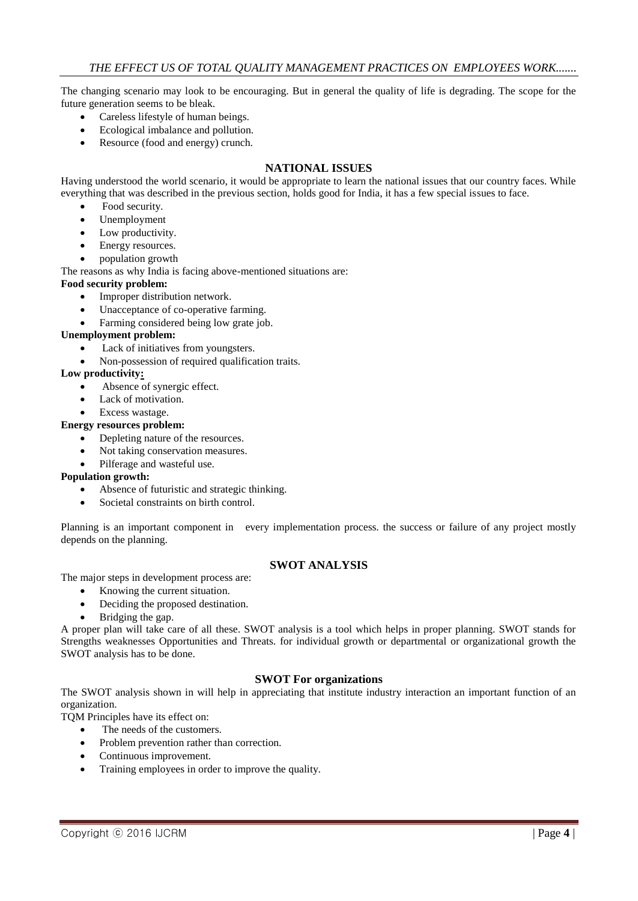The changing scenario may look to be encouraging. But in general the quality of life is degrading. The scope for the future generation seems to be bleak.

- Careless lifestyle of human beings.
- Ecological imbalance and pollution.
- Resource (food and energy) crunch.

## **NATIONAL ISSUES**

Having understood the world scenario, it would be appropriate to learn the national issues that our country faces. While everything that was described in the previous section, holds good for India, it has a few special issues to face.

- Food security.
- Unemployment
- Low productivity.
- Energy resources.
- population growth

The reasons as why India is facing above-mentioned situations are:

#### **Food security problem:**

- Improper distribution network.
- Unacceptance of co-operative farming.
- Farming considered being low grate job.

### **Unemployment problem:**

- Lack of initiatives from youngsters.
- Non-possession of required qualification traits.

## **Low productivity:**

- Absence of synergic effect.
- Lack of motivation.
- Excess wastage.

#### **Energy resources problem:**

- Depleting nature of the resources.
- Not taking conservation measures.
- Pilferage and wasteful use.

#### **Population growth:**

- Absence of futuristic and strategic thinking.
- Societal constraints on birth control.

Planning is an important component in every implementation process. the success or failure of any project mostly depends on the planning.

## **SWOT ANALYSIS**

The major steps in development process are:

- Knowing the current situation.
- Deciding the proposed destination.
- Bridging the gap.

A proper plan will take care of all these. SWOT analysis is a tool which helps in proper planning. SWOT stands for Strengths weaknesses Opportunities and Threats. for individual growth or departmental or organizational growth the SWOT analysis has to be done.

## **SWOT For organizations**

The SWOT analysis shown in will help in appreciating that institute industry interaction an important function of an organization.

TQM Principles have its effect on:

- The needs of the customers.
- Problem prevention rather than correction.
- Continuous improvement.
- Training employees in order to improve the quality.